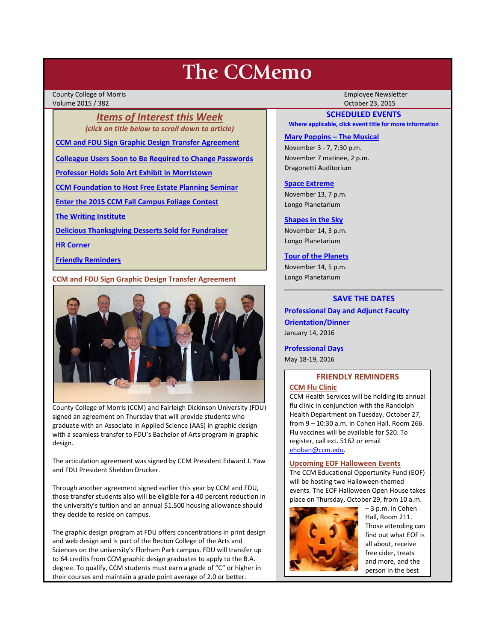# **The CCMemo**

County College of Morris Employee Newsletter Volume 2015 / 382 October 23, 2015

*Items of Interest this Week (click on title below to scroll down to article)*

**[CCM and FDU Sign Graphic Design Transfer Agreement](#page-0-0)**

**[Colleague Users Soon to Be Required to Change Passwords](#page-1-0)**

**[Professor Holds Solo Art Exhibit in Morristown](#page-1-1)**

**[CCM Foundation to Host Free Estate Planning Seminar](#page-1-2)**

**[Enter the 2015 CCM Fall Campus Foliage Contest](#page-2-0)**

**[The Writing Institute](#page-3-0)**

**[Delicious Thanksgiving Desserts Sold for Fundraiser](#page-3-1)**

**[HR Corner](#page-2-1)**

**[Friendly Reminders](#page-0-1)**

<span id="page-0-0"></span>**CCM and FDU Sign Graphic Design Transfer Agreement**



County College of Morris (CCM) and Fairleigh Dickinson University (FDU) signed an agreement on Thursday that will provide students who graduate with an Associate in Applied Science (AAS) in graphic design with a seamless transfer to FDU's Bachelor of Arts program in graphic design.

The articulation agreement was signed by CCM President Edward J. Yaw and FDU President Sheldon Drucker.

Through another agreement signed earlier this year by CCM and FDU, those transfer students also will be eligible for a 40 percent reduction in the university's tuition and an annual \$1,500 housing allowance should they decide to reside on campus.

The graphic design program at FDU offers concentrations in print design and web design and is part of the Becton College of the Arts and Sciences on the university's Florham Park campus. FDU will transfer up to 64 credits from CCM graphic design graduates to apply to the B.A. degree. To qualify, CCM students must earn a grade of "C" or higher in their courses and maintain a grade point average of 2.0 or better.

# **SCHEDULED EVENTS**

**Where applicable, click event title for more information**

#### **[Mary Poppins –](http://www.ccm.edu/newsEvents/eventDetails.aspx?Channel=/Channels/Sitewide&WorkflowItemID=ffeb39ff-f7da-4fea-b9e5-d499448c4e3d) The Musical**

November 3 - 7, 7:30 p.m. November 7 matinee, 2 p.m. Dragonetti Auditorium

#### **[Space Extreme](http://www.ccm.edu/newsEvents/eventDetails.aspx?Channel=/Channels/Sitewide&WorkflowItemID=1874a4b0-0bcb-4ed1-a29e-7b4f8d25e45d)**

November 13, 7 p.m. Longo Planetarium

## **[Shapes in the Sky](http://www.ccm.edu/newsEvents/eventDetails.aspx?Channel=/Channels/Sitewide&WorkflowItemID=1922c928-86d3-4e75-b6a2-fd618033989c)**

November 14, 3 p.m. Longo Planetarium

# **[Tour of the Planets](http://www.ccm.edu/newsEvents/eventDetails.aspx?Channel=/Channels/Sitewide&WorkflowItemID=5834aa20-68ba-4fa2-a3ac-75b2311ba441)**

November 14, 5 p.m. Longo Planetarium

# **SAVE THE DATES**

**Professional Day and Adjunct Faculty Orientation/Dinner** January 14, 2016

#### **Professional Days**

May 18-19, 2016

## <span id="page-0-1"></span>**FRIENDLY REMINDERS CCM Flu Clinic**

CCM Health Services will be holding its annual flu clinic in conjunction with the Randolph Health Department on Tuesday, October 27, from 9 – 10:30 a.m. in Cohen Hall, Room 266. Flu vaccines will be available for \$20. To register, call ext. 5162 or email [ehoban@ccm.edu.](mailto:ehoban@ccm.edu)

#### **Upcoming EOF Halloween Events**

The CCM Educational Opportunity Fund (EOF) will be hosting two Halloween-themed events. The EOF Halloween Open House takes place on Thursday, October 29, from 10 a.m.



– 3 p.m. in Cohen Hall, Room 211. Those attending can find out what EOF is all about, receive free cider, treats and more, and the person in the best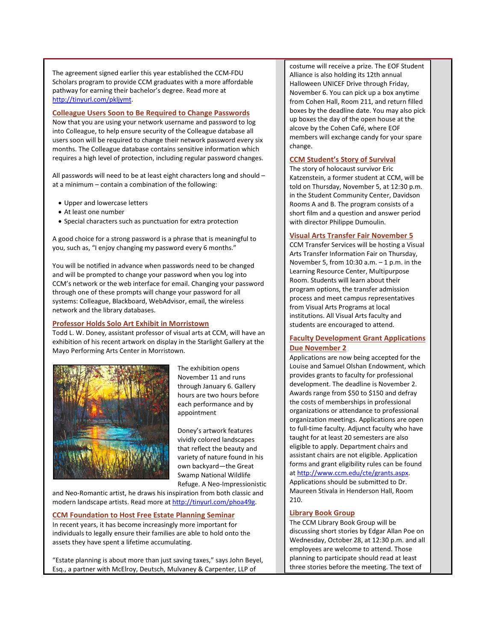The agreement signed earlier this year established the CCM-FDU Scholars program to provide CCM graduates with a more affordable pathway for earning their bachelor's degree. Read more at [http://tinyurl.com/pkljymt.](http://tinyurl.com/pkljymt)

## <span id="page-1-0"></span>**Colleague Users Soon to Be Required to Change Passwords**

Now that you are using your network username and password to log into Colleague, to help ensure security of the Colleague database all users soon will be required to change their network password every six months. The Colleague database contains sensitive information which requires a high level of protection, including regular password changes.

All passwords will need to be at least eight characters long and should – at a minimum – contain a combination of the following:

- Upper and lowercase letters
- At least one number
- Special characters such as punctuation for extra protection

A good choice for a strong password is a phrase that is meaningful to you, such as, "I enjoy changing my password every 6 months."

You will be notified in advance when passwords need to be changed and will be prompted to change your password when you log into CCM's network or the web interface for email. Changing your password through one of these prompts will change your password for all systems: Colleague, Blackboard, WebAdvisor, email, the wireless network and the library databases.

# <span id="page-1-1"></span>**Professor Holds Solo Art Exhibit in Morristown**

Todd L. W. Doney, assistant professor of visual arts at CCM, will have an exhibition of his recent artwork on display in the Starlight Gallery at the Mayo Performing Arts Center in Morristown.



The exhibition opens November 11 and runs through January 6. Gallery hours are two hours before each performance and by appointment

Doney's artwork features vividly colored landscapes that reflect the beauty and variety of nature found in his own backyard—the Great Swamp National Wildlife Refuge. A Neo-Impressionistic

and Neo-Romantic artist, he draws his inspiration from both classic and modern landscape artists. Read more at [http://tinyurl.com/phoa49g.](http://tinyurl.com/phoa49g)

## <span id="page-1-2"></span>**CCM Foundation to Host Free Estate Planning Seminar**

In recent years, it has become increasingly more important for individuals to legally ensure their families are able to hold onto the assets they have spent a lifetime accumulating.

"Estate planning is about more than just saving taxes," says John Beyel, Esq., a partner with McElroy, Deutsch, Mulvaney & Carpenter, LLP of

costume will receive a prize. The EOF Student Alliance is also holding its 12th annual Halloween UNICEF Drive through Friday, November 6. You can pick up a box anytime from Cohen Hall, Room 211, and return filled boxes by the deadline date. You may also pick up boxes the day of the open house at the alcove by the Cohen Café, where EOF members will exchange candy for your spare change.

# **CCM Student's Story of Survival**

The story of holocaust survivor Eric Katzenstein, a former student at CCM, will be told on Thursday, November 5, at 12:30 p.m. in the Student Community Center, Davidson Rooms A and B. The program consists of a short film and a question and answer period with director Philippe Dumoulin.

# **Visual Arts Transfer Fair November 5**

CCM Transfer Services will be hosting a Visual Arts Transfer Information Fair on Thursday, November 5, from  $10:30$  a.m.  $-1$  p.m. in the Learning Resource Center, Multipurpose Room. Students will learn about their program options, the transfer admission process and meet campus representatives from Visual Arts Programs at local institutions. All Visual Arts faculty and students are encouraged to attend.

# **Faculty Development Grant Applications Due November 2**

Applications are now being accepted for the Louise and Samuel Olshan Endowment, which provides grants to faculty for professional development. The deadline is November 2. Awards range from \$50 to \$150 and defray the costs of memberships in professional organizations or attendance to professional organization meetings. Applications are open to full-time faculty. Adjunct faculty who have taught for at least 20 semesters are also eligible to apply. Department chairs and assistant chairs are not eligible. Application forms and grant eligibility rules can be found at [http://www.ccm.edu/cte/grants.aspx.](http://www.ccm.edu/cte/grants.aspx)  Applications should be submitted to Dr. Maureen Stivala in Henderson Hall, Room

# 210.

# **Library Book Group**

The CCM Library Book Group will be discussing short stories by Edgar Allan Poe on Wednesday, October 28, at 12:30 p.m. and all employees are welcome to attend. Those planning to participate should read at least three stories before the meeting. The text of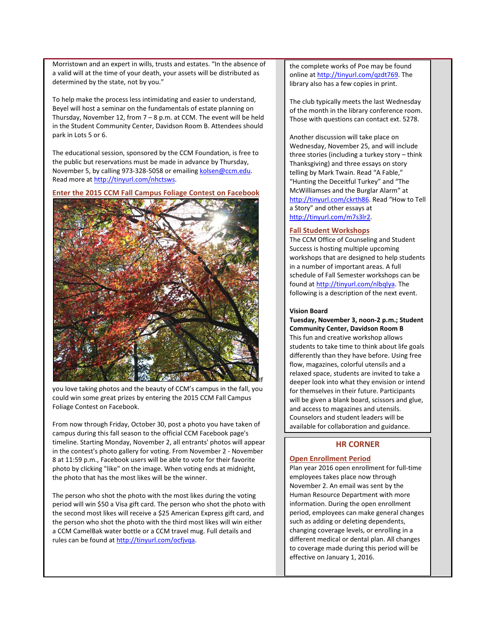Morristown and an expert in wills, trusts and estates. "In the absence of a valid will at the time of your death, your assets will be distributed as determined by the state, not by you."

To help make the process less intimidating and easier to understand, Beyel will host a seminar on the fundamentals of estate planning on Thursday, November 12, from  $7 - 8$  p.m. at CCM. The event will be held in the Student Community Center, Davidson Room B. Attendees should park in Lots 5 or 6.

The educational session, sponsored by the CCM Foundation, is free to the public but reservations must be made in advance by Thursday, November 5, by calling 973-328-5058 or emailin[g kolsen@ccm.edu.](mailto:kolsen@ccm.edu)  Read more a[t http://tinyurl.com/nhctsws.](http://tinyurl.com/nhctsws)

<span id="page-2-0"></span>**Enter the 2015 CCM Fall Campus Foliage Contest on Facebook**



you love taking photos and the beauty of CCM's campus in the fall, you could win some great prizes by entering the 2015 CCM Fall Campus Foliage Contest on Facebook.

From now through Friday, October 30, post a photo you have taken of campus during this fall season to the official CCM Facebook page's timeline. Starting Monday, November 2, all entrants' photos will appear in the contest's photo gallery for voting. From November 2 - November 8 at 11:59 p.m., Facebook users will be able to vote for their favorite photo by clicking "like" on the image. When voting ends at midnight, the photo that has the most likes will be the winner.

The person who shot the photo with the most likes during the voting period will win \$50 a Visa gift card. The person who shot the photo with the second most likes will receive a \$25 American Express gift card, and the person who shot the photo with the third most likes will win either a CCM CamelBak water bottle or a CCM travel mug. Full details and rules can be found at [http://tinyurl.com/ocfjvqa.](http://tinyurl.com/ocfjvqa)

the complete works of Poe may be found online at [http://tinyurl.com/qzdt769.](http://tinyurl.com/qzdt769) The library also has a few copies in print.

The club typically meets the last Wednesday of the month in the library conference room. Those with questions can contact ext. 5278.

Another discussion will take place on Wednesday, November 25, and will include three stories (including a turkey story – think Thanksgiving) and three essays on story telling by Mark Twain. Read "A Fable," "Hunting the Deceitful Turkey" and "The McWilliamses and the Burglar Alarm" at [http://tinyurl.com/ckrth86.](http://tinyurl.com/ckrth86) Read "How to Tell a Story" and other essays at [http://tinyurl.com/m7s3lr2.](http://tinyurl.com/m7s3lr2) 

#### **Fall Student Workshops**

The CCM Office of Counseling and Student Success is hosting multiple upcoming workshops that are designed to help students in a number of important areas. A full schedule of Fall Semester workshops can be found a[t http://tinyurl.com/nlbqlya.](http://tinyurl.com/nlbqlya) The following is a description of the next event.

#### **Vision Board**

**Tuesday, November 3, noon-2 p.m.; Student Community Center, Davidson Room B** This fun and creative workshop allows students to take time to think about life goals differently than they have before. Using free flow, magazines, colorful utensils and a relaxed space, students are invited to take a deeper look into what they envision or intend for themselves in their future. Participants will be given a blank board, scissors and glue, and access to magazines and utensils. Counselors and student leaders will be available for collaboration and guidance.

# **HR CORNER**

#### <span id="page-2-1"></span>**Open Enrollment Period**

Plan year 2016 open enrollment for full-time employees takes place now through November 2. An email was sent by the Human Resource Department with more information. During the open enrollment period, employees can make general changes such as adding or deleting dependents, changing coverage levels, or enrolling in a different medical or dental plan. All changes to coverage made during this period will be effective on January 1, 2016.